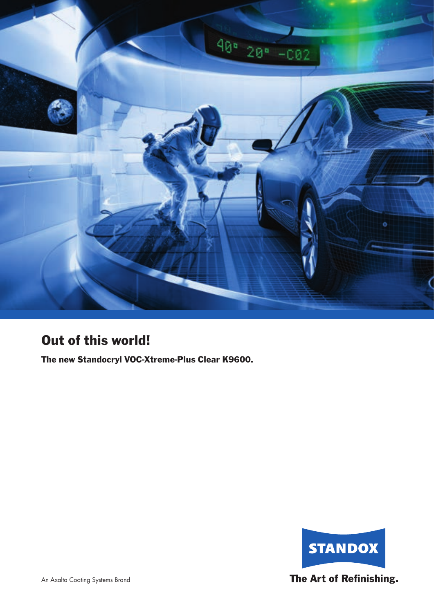

# Out of this world!

The new Standocryl VOC-Xtreme-Plus Clear K9600.

![](_page_0_Picture_3.jpeg)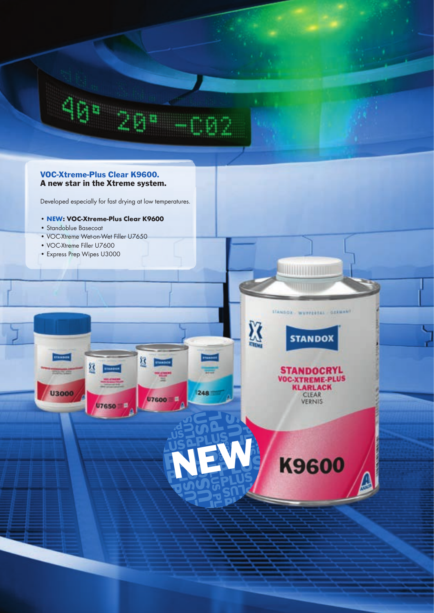![](_page_1_Picture_0.jpeg)

**THE REAL PROPERTY** 

X

**STANDOR WEYPERTAL GERMANY** 

**STANDOX** 

**STANDOCRYL** 

VOC-XTREME-PLUS<br>KLARLACK<br>CLEAR<br>VERNIS

**K9600** 

**NEW** 

248

## VOC-Xtreme-Plus Clear K9600. A new star in the Xtreme system.

Developed especially for fast drying at low temperatures.

Ķ

U7650

U7600 E

- **NEW: VOC-Xtreme-Plus Clear K9600**
- Standoblue Basecoat

**U3000** 

- VOC-Xtreme Wet-on-Wet Filler U7650
- VOC-Xtreme Filler U7600
- Express Prep Wipes U3000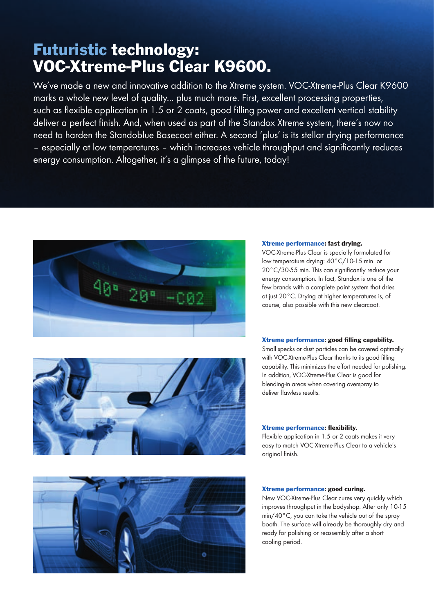# Futuristic technology: VOC-Xtreme-Plus Clear K9600.

We've made a new and innovative addition to the Xtreme system. VOC-Xtreme-Plus Clear K9600 marks a whole new level of quality... plus much more. First, excellent processing properties, such as flexible application in 1.5 or 2 coats, good filling power and excellent vertical stability deliver a perfect finish. And, when used as part of the Standox Xtreme system, there's now no need to harden the Standoblue Basecoat either. A second 'plus' is its stellar drying performance – especially at low temperatures – which increases vehicle throughput and significantly reduces energy consumption. Altogether, it's a glimpse of the future, today!

![](_page_2_Picture_2.jpeg)

![](_page_2_Picture_3.jpeg)

#### Xtreme performance: fast drying.

VOC-Xtreme-Plus Clear is specially formulated for low temperature drying: 40°C/10-15 min. or 20°C/30-55 min. This can significantly reduce your energy consumption. In fact, Standox is one of the few brands with a complete paint system that dries at just 20°C. Drying at higher temperatures is, of course, also possible with this new clearcoat.

#### Xtreme performance: good filling capability.

Small specks or dust particles can be covered optimally with VOC-Xtreme-Plus Clear thanks to its good filling capability. This minimizes the effort needed for polishing. In addition, VOC-Xtreme-Plus Clear is good for blending-in areas when covering overspray to deliver flawless results.

#### Xtreme performance: flexibility.

Flexible application in 1.5 or 2 coats makes it very easy to match VOC-Xtreme-Plus Clear to a vehicle's original finish.

![](_page_2_Picture_10.jpeg)

#### Xtreme performance: good curing.

New VOC-Xtreme-Plus Clear cures very quickly which improves throughput in the bodyshop. After only 10-15 min/40°C, you can take the vehicle out of the spray booth. The surface will already be thoroughly dry and ready for polishing or reassembly after a short cooling period.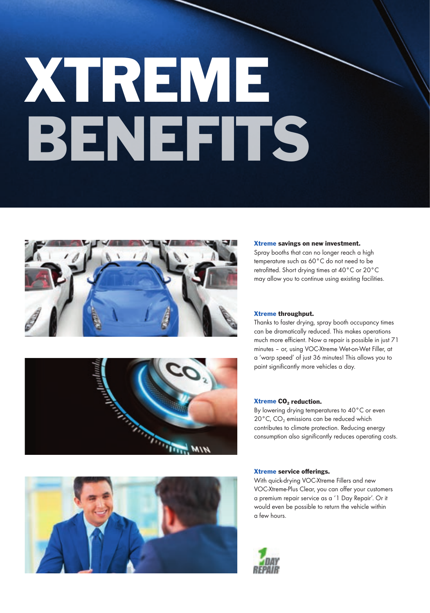# XTREME BENE EITS

![](_page_3_Picture_1.jpeg)

![](_page_3_Picture_2.jpeg)

# Xtreme savings on new investment.

Spray booths that can no longer reach a high temperature such as 60°C do not need to be retrofitted. Short drying times at 40°C or 20°C may allow you to continue using existing facilities.

#### Xtreme throughput.

Thanks to faster drying, spray booth occupancy times can be dramatically reduced. This makes operations much more efficient. Now a repair is possible in just 71 minutes – or, using VOC-Xtreme Wet-on-Wet Filler, at a 'warp speed' of just 36 minutes! This allows you to paint significantly more vehicles a day.

#### Xtreme CO<sub>2</sub> reduction.

By lowering drying temperatures to 40°C or even 20 $^{\circ}$ C, CO<sub>2</sub> emissions can be reduced which contributes to climate protection. Reducing energy consumption also significantly reduces operating costs.

![](_page_3_Picture_9.jpeg)

#### Xtreme service offerings.

With quick-drying VOC-Xtreme Fillers and new VOC-Xtreme-Plus Clear, you can offer your customers a premium repair service as a '1 Day Repair'. Or it would even be possible to return the vehicle within a few hours.

![](_page_3_Picture_12.jpeg)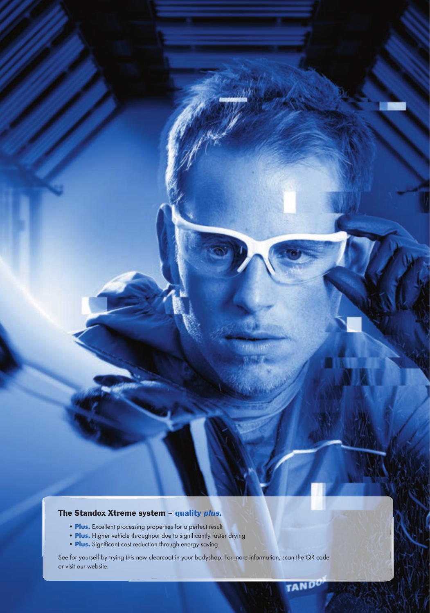# The Standox Xtreme system - quality plus.

- **Plus.** Excellent processing properties for a perfect result
- **Plus.** Higher vehicle throughput due to significantly faster drying
- **Plus.** Significant cost reduction through energy saving

See for yourself by trying this new clearcoat in your bodyshop. For more information, scan the QR code or visit our website.